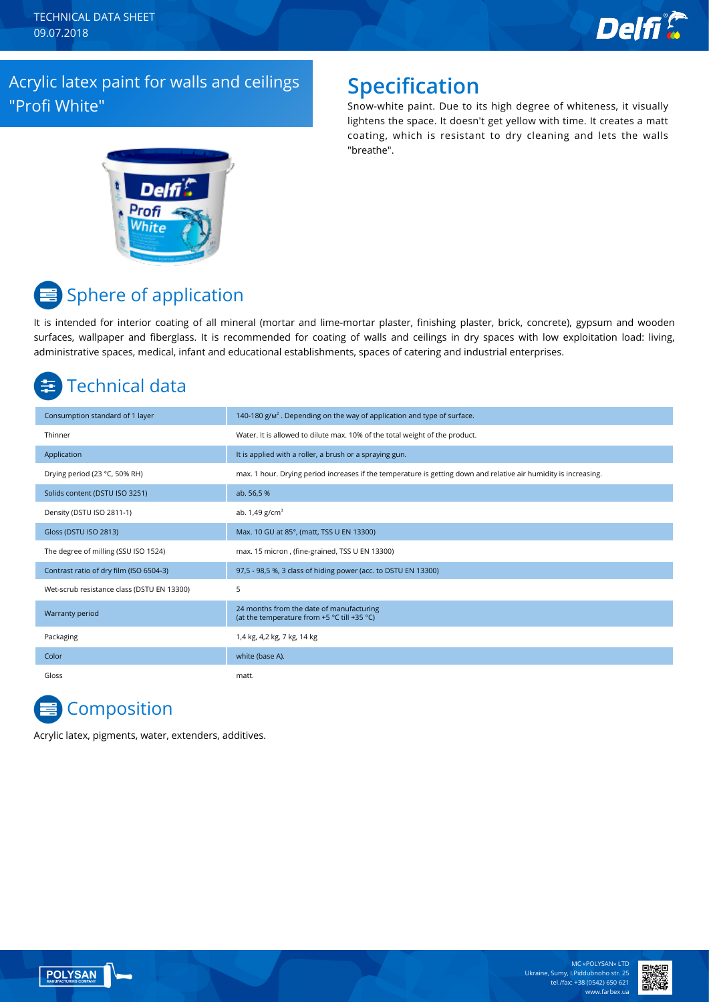TECHNICAL DATA SHEET 09.07.2018



### Acrylic latex paint for walls and ceilings "Profi White"

## **Specification**

Snow-white paint. Due to its high degree of whiteness, it visually lightens the space. It doesn't get yellow with time. It creates a matt coating, which is resistant to dry cleaning and lets the walls "breathe".



# Sphere of application

It is intended for interior coating of all mineral (mortar and lime-mortar plaster, finishing plaster, brick, concrete), gypsum and wooden surfaces, wallpaper and fiberglass. It is recommended for coating of walls and ceilings in dry spaces with low exploitation load: living, administrative spaces, medical, infant and educational establishments, spaces of catering and industrial enterprises.

## Technical data

| Consumption standard of 1 layer            | 140-180 $g/m2$ . Depending on the way of application and type of surface.                                        |
|--------------------------------------------|------------------------------------------------------------------------------------------------------------------|
| Thinner                                    | Water. It is allowed to dilute max. 10% of the total weight of the product.                                      |
| Application                                | It is applied with a roller, a brush or a spraying gun.                                                          |
| Drying period (23 °C, 50% RH)              | max. 1 hour. Drying period increases if the temperature is getting down and relative air humidity is increasing. |
| Solids content (DSTU ISO 3251)             | ab. 56,5 %                                                                                                       |
| Density (DSTU ISO 2811-1)                  | ab. $1,49$ g/cm <sup>3</sup>                                                                                     |
| Gloss (DSTU ISO 2813)                      | Max. 10 GU at 85°, (matt, TSS U EN 13300)                                                                        |
| The degree of milling (SSU ISO 1524)       | max. 15 micron, (fine-grained, TSS U EN 13300)                                                                   |
| Contrast ratio of dry film (ISO 6504-3)    | 97,5 - 98,5 %, 3 class of hiding power (acc. to DSTU EN 13300)                                                   |
| Wet-scrub resistance class (DSTU EN 13300) | 5                                                                                                                |
| Warranty period                            | 24 months from the date of manufacturing<br>(at the temperature from +5 °C till +35 °C)                          |
| Packaging                                  | 1,4 kg, 4,2 kg, 7 kg, 14 kg                                                                                      |
| Color                                      | white (base A).                                                                                                  |
| Gloss                                      | matt.                                                                                                            |

# **Composition**

Acrylic latex, pigments, water, extenders, additives.